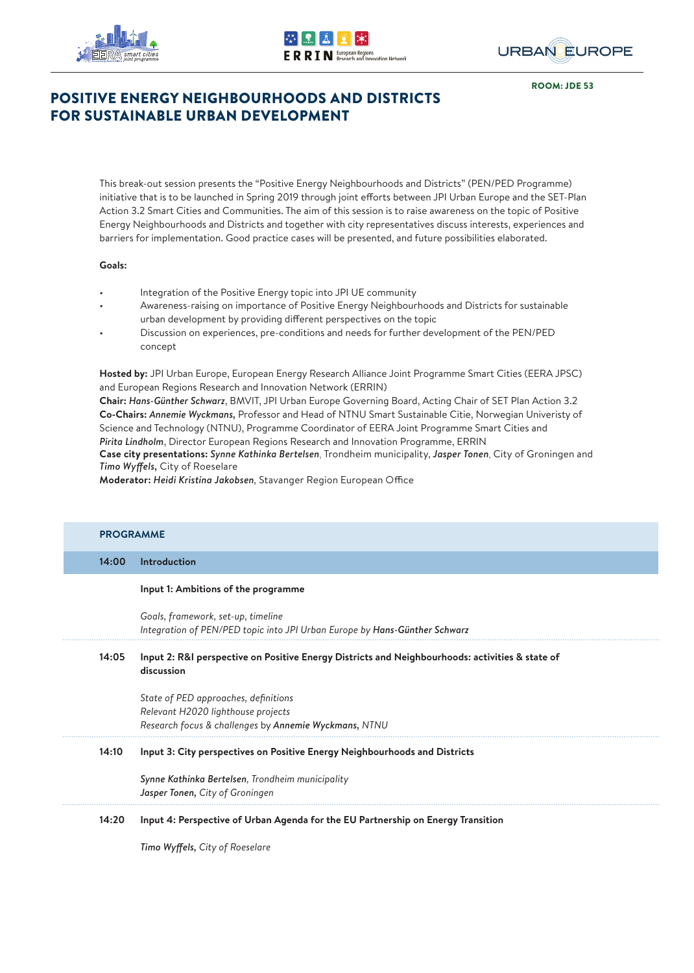





ROOM: JDE 53

# POSITIVE ENERGY NEIGHBOURHOODS AND DISTRICTS FOR SUSTAINABLE URBAN DEVELOPMENT

This break-out session presents the "Positive Energy Neighbourhoods and Districts" (PEN/PED Programme) initiative that is to be launched in Spring 2019 through joint efforts between JPI Urban Europe and the SET-Plan Action 3.2 Smart Cities and Communities. The aim of this session is to raise awareness on the topic of Positive Energy Neighbourhoods and Districts and together with city representatives discuss interests, experiences and barriers for implementation. Good practice cases will be presented, and future possibilities elaborated.

### **Goals:**

- Integration of the Positive Energy topic into JPI UE community
- Awareness-raising on importance of Positive Energy Neighbourhoods and Districts for sustainable urban development by providing different perspectives on the topic
- Discussion on experiences, pre-conditions and needs for further development of the PEN/PED concept

**Hosted by:** JPI Urban Europe, European Energy Research Alliance Joint Programme Smart Cities (EERA JPSC) and European Regions Research and Innovation Network (ERRIN)

**Chair:** *Hans-Günther Schwarz*, BMVIT, JPI Urban Europe Governing Board, Acting Chair of SET Plan Action 3.2 **Co-Chairs:** *Annemie Wyckmans,* Professor and Head of NTNU Smart Sustainable Citie, Norwegian Univeristy of Science and Technology (NTNU), Programme Coordinator of EERA Joint Programme Smart Cities and *Pirita Lindholm*, Director European Regions Research and Innovation Programme, ERRIN **Case city presentations:** *Synne Kathinka Bertelsen*, Trondheim municipality, *Jasper Tonen*, City of Groningen and *Timo Wyff els,* City of Roeselare

**Moderator: Heidi Kristina Jakobsen**, Stavanger Region European Office

| <b>PROGRAMME</b> |                                                                                                                                     |
|------------------|-------------------------------------------------------------------------------------------------------------------------------------|
| 14:00            | Introduction                                                                                                                        |
|                  | Input 1: Ambitions of the programme                                                                                                 |
|                  | Goals, framework, set-up, timeline<br>Integration of PEN/PED topic into JPI Urban Europe by Hans-Günther Schwarz                    |
| 14:05            | Input 2: R&I perspective on Positive Energy Districts and Neighbourhoods: activities & state of<br>discussion                       |
|                  | State of PED approaches, definitions<br>Relevant H2020 lighthouse projects<br>Research focus & challenges by Annemie Wyckmans, NTNU |
| 14:10            | Input 3: City perspectives on Positive Energy Neighbourhoods and Districts                                                          |
|                  | Synne Kathinka Bertelsen, Trondheim municipality<br>Jasper Tonen, City of Groningen                                                 |
| 14:20            | Input 4: Perspective of Urban Agenda for the EU Partnership on Energy Transition                                                    |
|                  | <b>Timo Wyffels, City of Roeselare</b>                                                                                              |